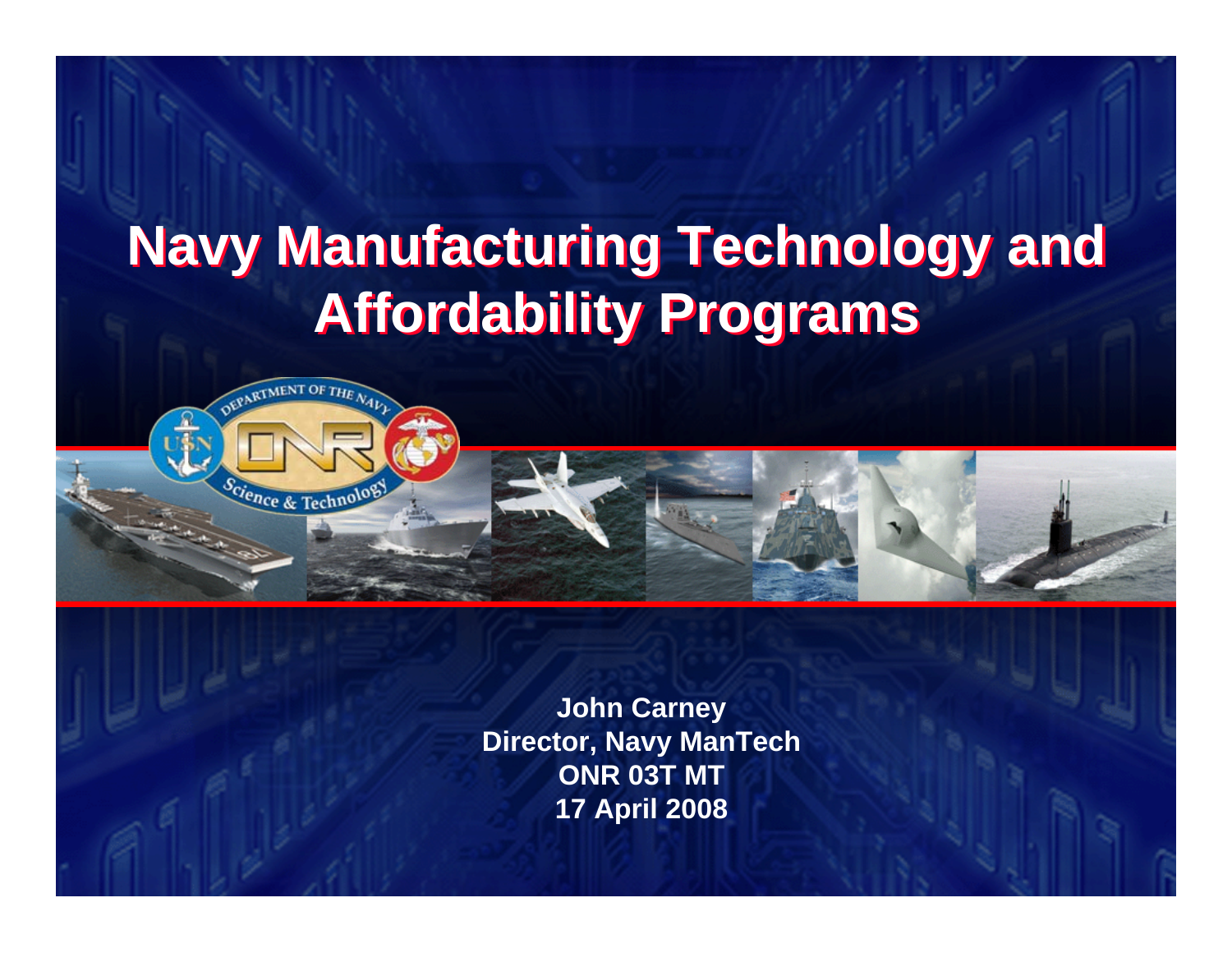# **Navy Manufacturing Technology and Navy Manufacturing Technology and Affordability Programs Affordability Programs**



**DISTRIBUTION STATEMENT A: Approved for public release; distribution is unlimited.**

**John Carney Director, Navy ManTech ONR 03T MT 17 April 2008**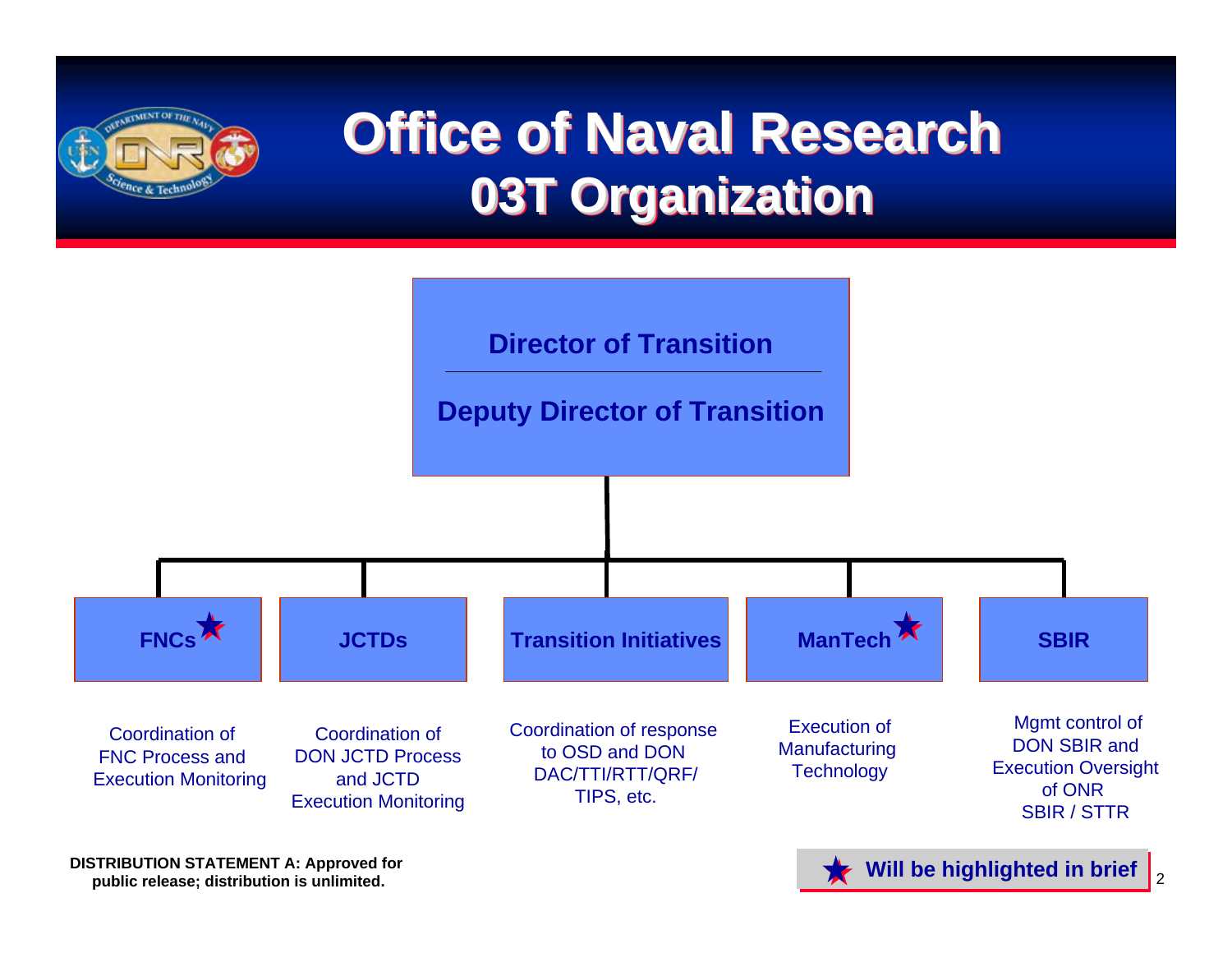

# **Office of Naval Research Office of Naval Research 03T Organization 03T Organization 03T Organization**



**DISTRIBUTION STATEMENT A: Approved for public release; distribution is unlimited. Will be highlighted in brief**  $\bullet$  **Will be highlighted in brief**  $\bullet$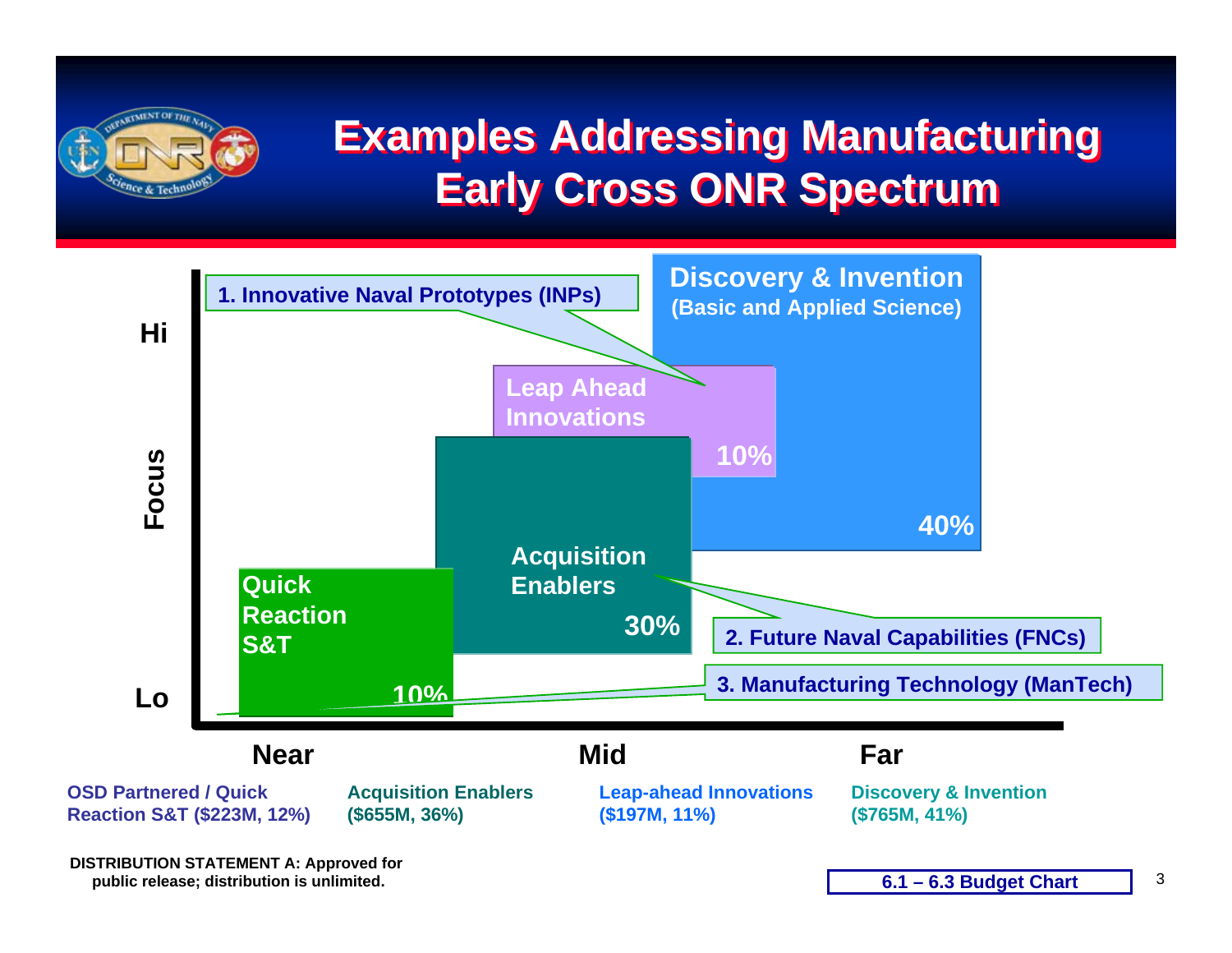

### **Examples Addressing Manufacturing Examples Addressing Manufacturing Early Cross ONR Spectrum Early Cross ONR Spectrum**



**DISTRIBUTION STATEMENT A: Approved for public release; distribution is unlimited.**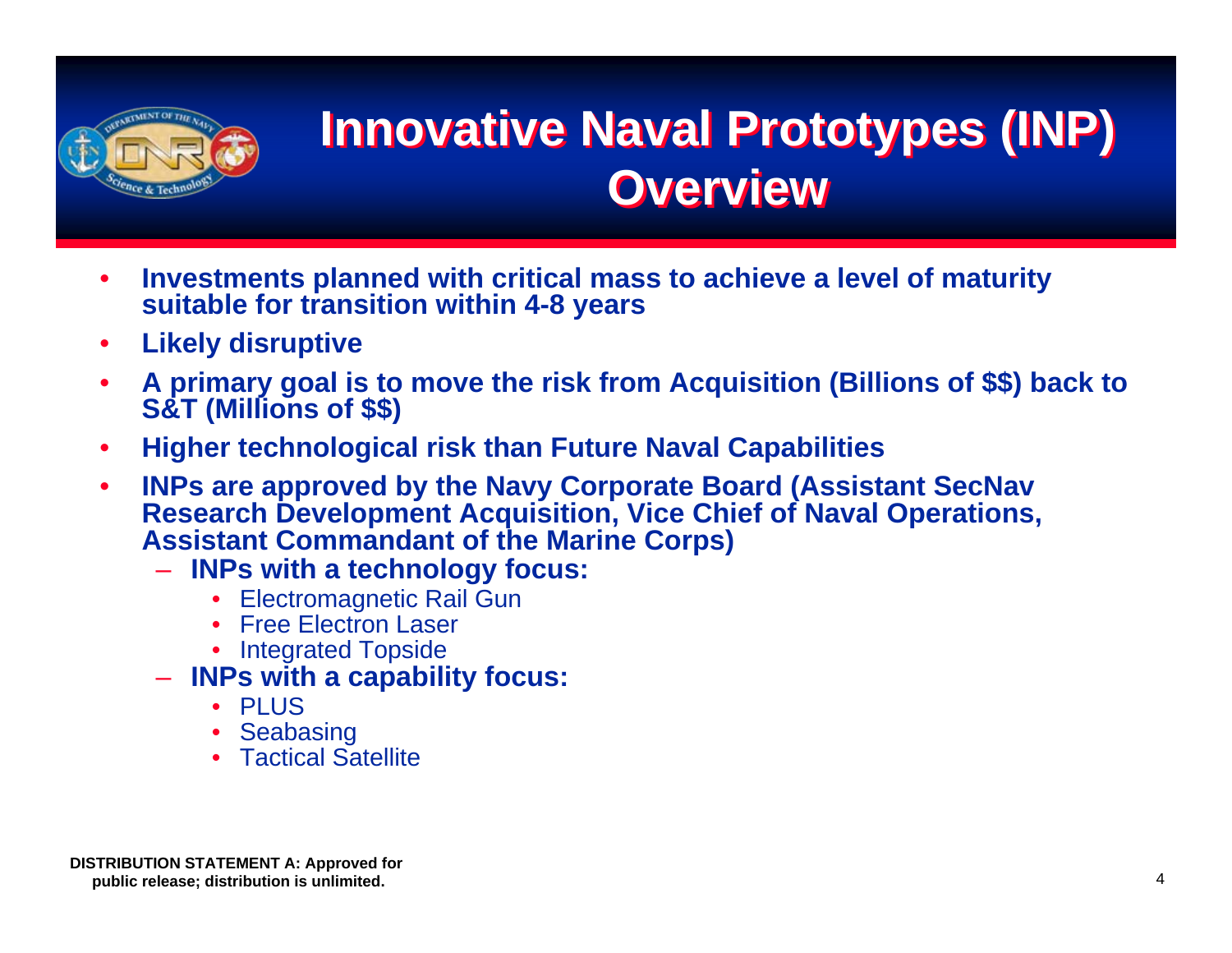

## **Innovative Naval Prototypes (INP) Innovative Naval Prototypes (INP) Overview Overview**

- • **Investments planned with critical mass to achieve a level of maturity suitable for transition within 4-8 years**
- •**Likely disruptive**
- •**A primary goal is to move the risk from Acquisition (Billions of \$\$) back to S&T (Millions of \$\$)**
- •**Higher technological risk than Future Naval Capabilities**
- $\bullet$  **INPs are approved by the Navy Corporate Board (Assistant SecNav Research Development Acquisition, Vice Chief of Naval Operations, Assistant Commandant of the Marine Corps)**
	- **INPs with a technology focus:**
		- •Electromagnetic Rail Gun
		- Free Electron Laser
		- Integrated Topside
	- **INPs with a capability focus:**
		- PLUS
		- •**Seabasing**
		- Tactical Satellite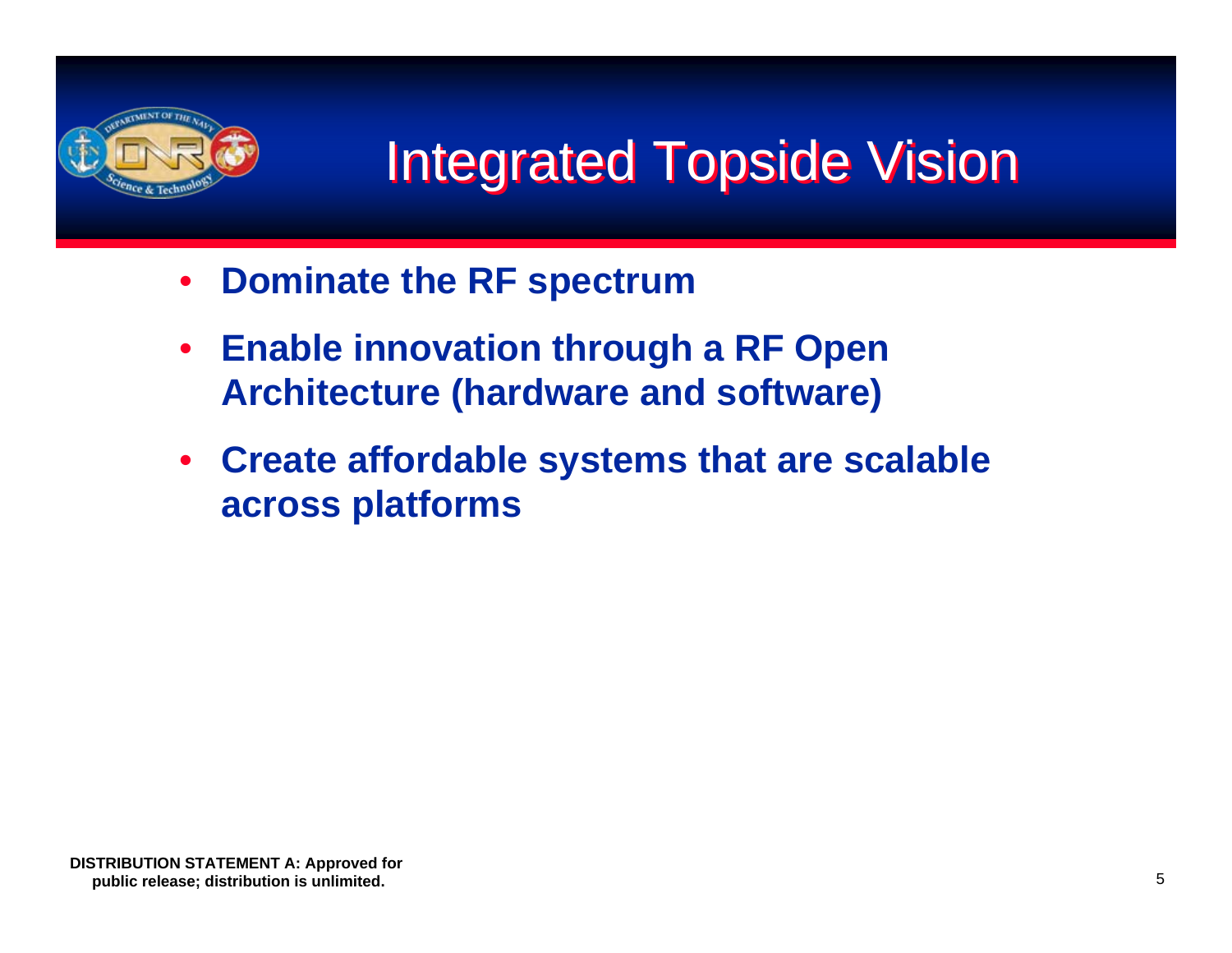

# **Integrated Topside Vision**

- $\bullet$ **Dominate the RF spectrum**
- $\bullet$  **Enable innovation through a RF Open Architecture (hardware and software)**
- **Create affordable systems that are scalable across platforms**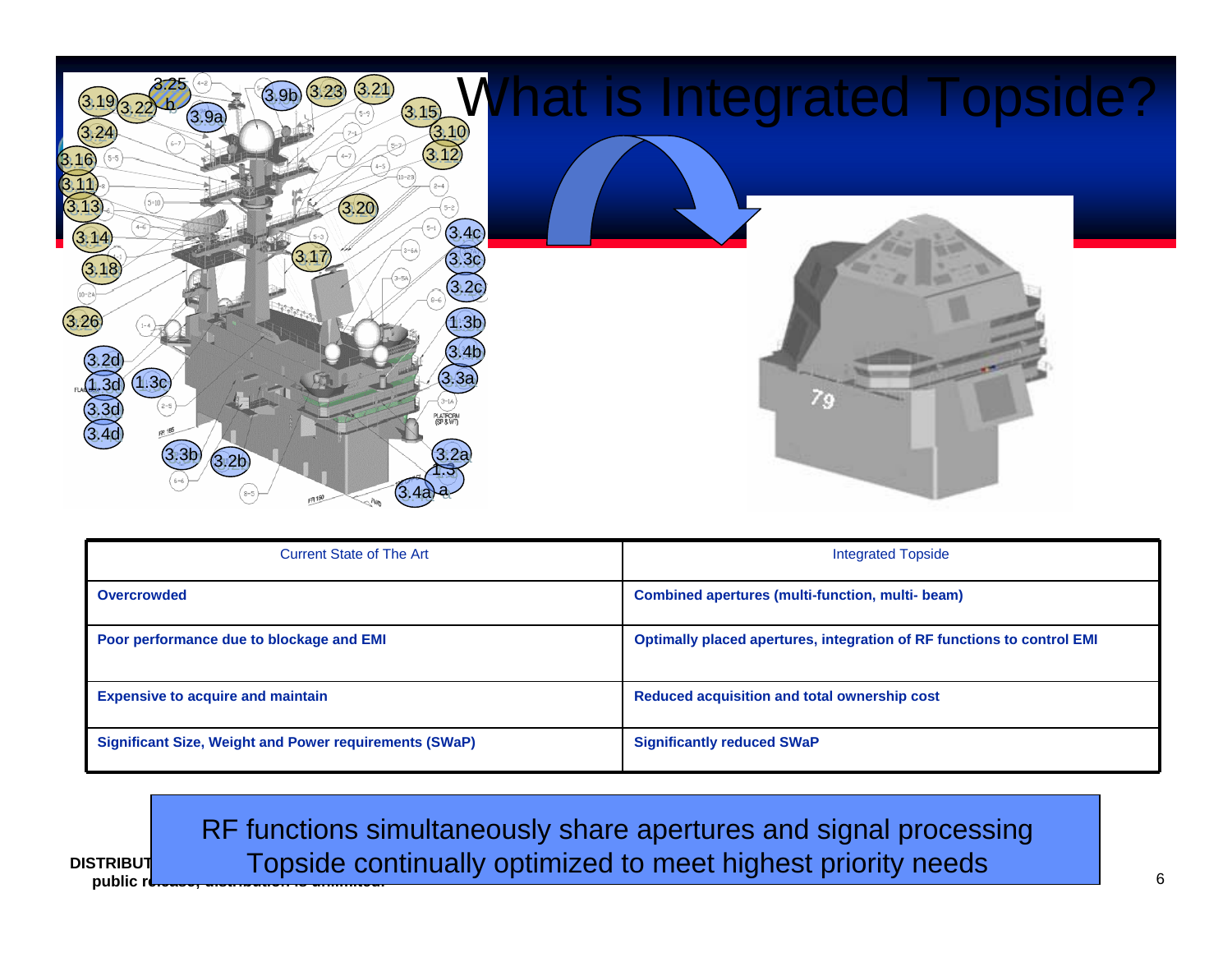

| <b>Current State of The Art</b>                               | <b>Integrated Topside</b>                                                     |
|---------------------------------------------------------------|-------------------------------------------------------------------------------|
| <b>Overcrowded</b>                                            | <b>Combined apertures (multi-function, multi- beam)</b>                       |
| Poor performance due to blockage and EMI                      | <b>Optimally placed apertures, integration of RF functions to control EMI</b> |
| <b>Expensive to acquire and maintain</b>                      | Reduced acquisition and total ownership cost                                  |
| <b>Significant Size, Weight and Power requirements (SWaP)</b> | <b>Significantly reduced SWaP</b>                                             |

**DISTRIBUT CONTRIGHT A: Approved Topside continually optimized to meet highest priority needs** RF functions simultaneously share apertures and signal processing

public **r**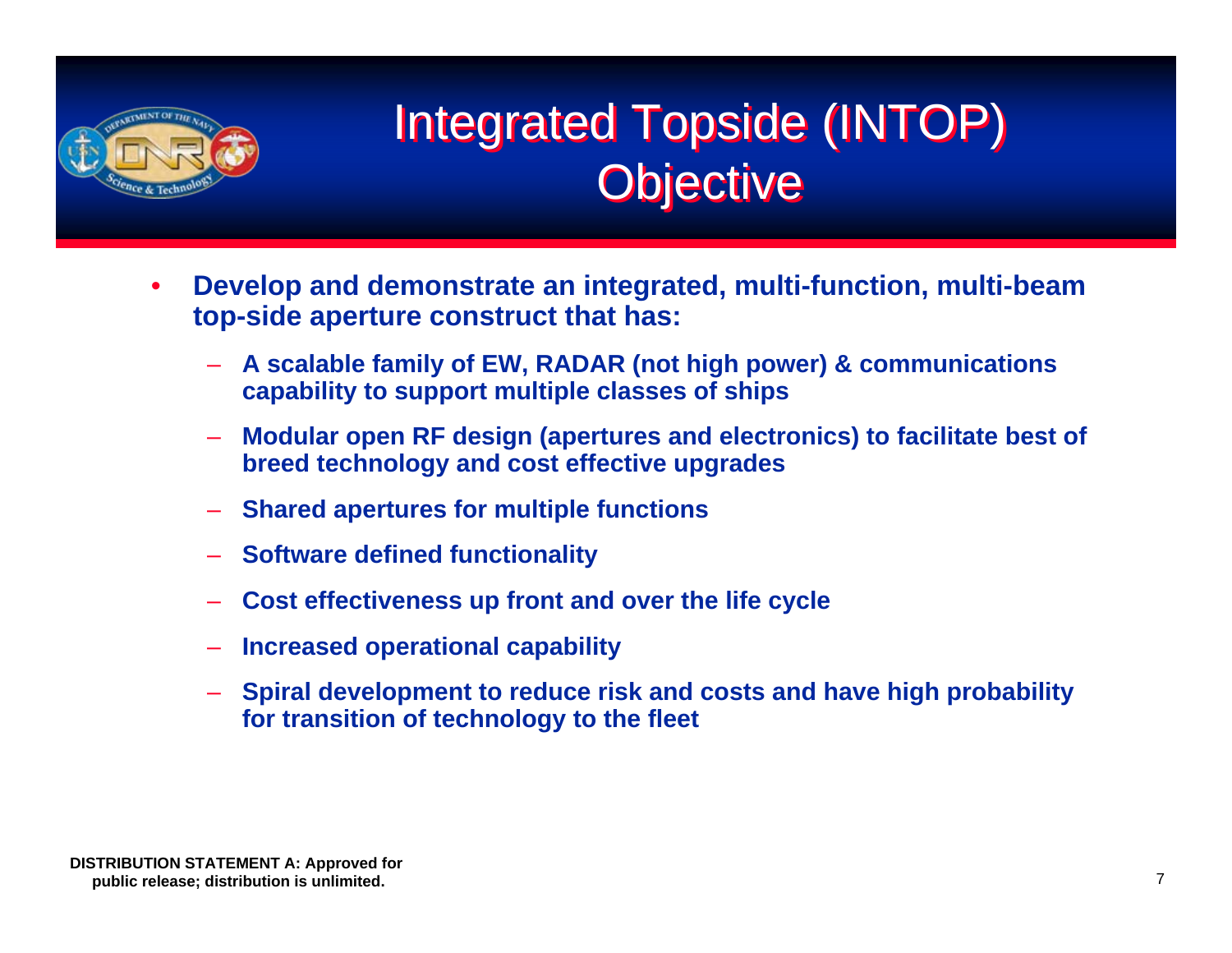

## Integrated Topside (INTOP) Integrated Topside (INTOP) Objective Objective

- • **Develop and demonstrate an integrated, multi-function, multi-beam top-side aperture construct that has:** 
	- **A scalable family of EW, RADAR (not high power) & communications capability to support multiple classes of ships**
	- **Modular open RF design (apertures and electronics) to facilitate best of breed technology and cost effective upgrades**
	- **Shared apertures for multiple functions**
	- **Software defined functionality**
	- **Cost effectiveness up front and over the life cycle**
	- **Increased operational capability**
	- **Spiral development to reduce risk and costs and have high probability for transition of technology to the fleet**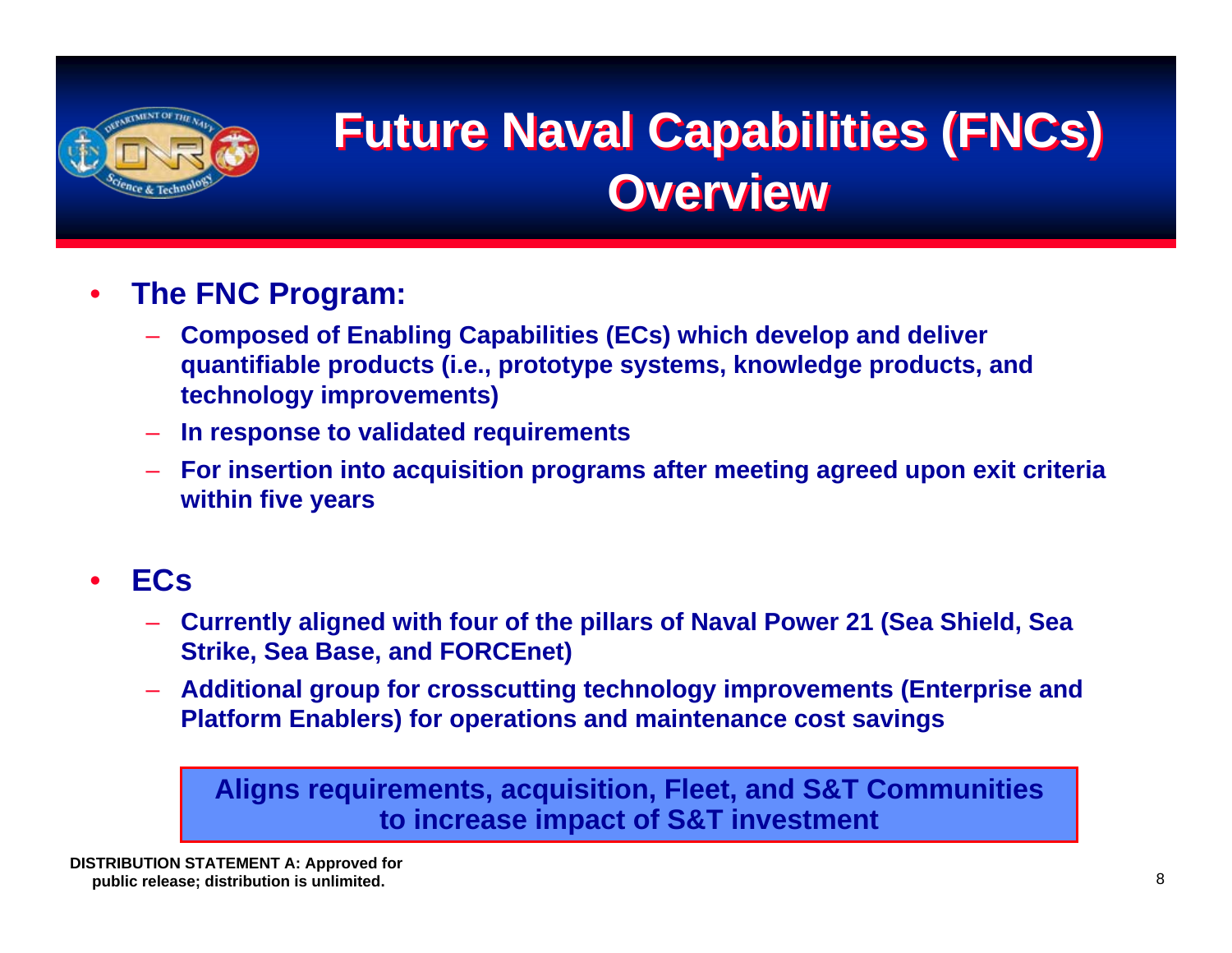

## **Future Naval Capabilities (FNCs) Future Naval Capabilities (FNCs) Overview**

#### •**The FNC Program:**

- **Composed of Enabling Capabilities (ECs) which develop and deliver quantifiable products (i.e., prototype systems, knowledge products, and technology improvements)**
- **In response to validated requirements**
- **For insertion into acquisition programs after meeting agreed upon exit criteria within five years**

#### •**ECs**

- **Currently aligned with four of the pillars of Naval Power 21 (Sea Shield, Sea Strike, Sea Base, and FORCEnet)**
- **Additional group for crosscutting technology improvements (Enterprise and Platform Enablers) for operations and maintenance cost savings**

#### **Aligns requirements, acquisition, Fleet, and S&T Communities to increase impact of S&T investment**

**DISTRIBUTION STATEMENT A: Approved for public release; distribution is unlimited.**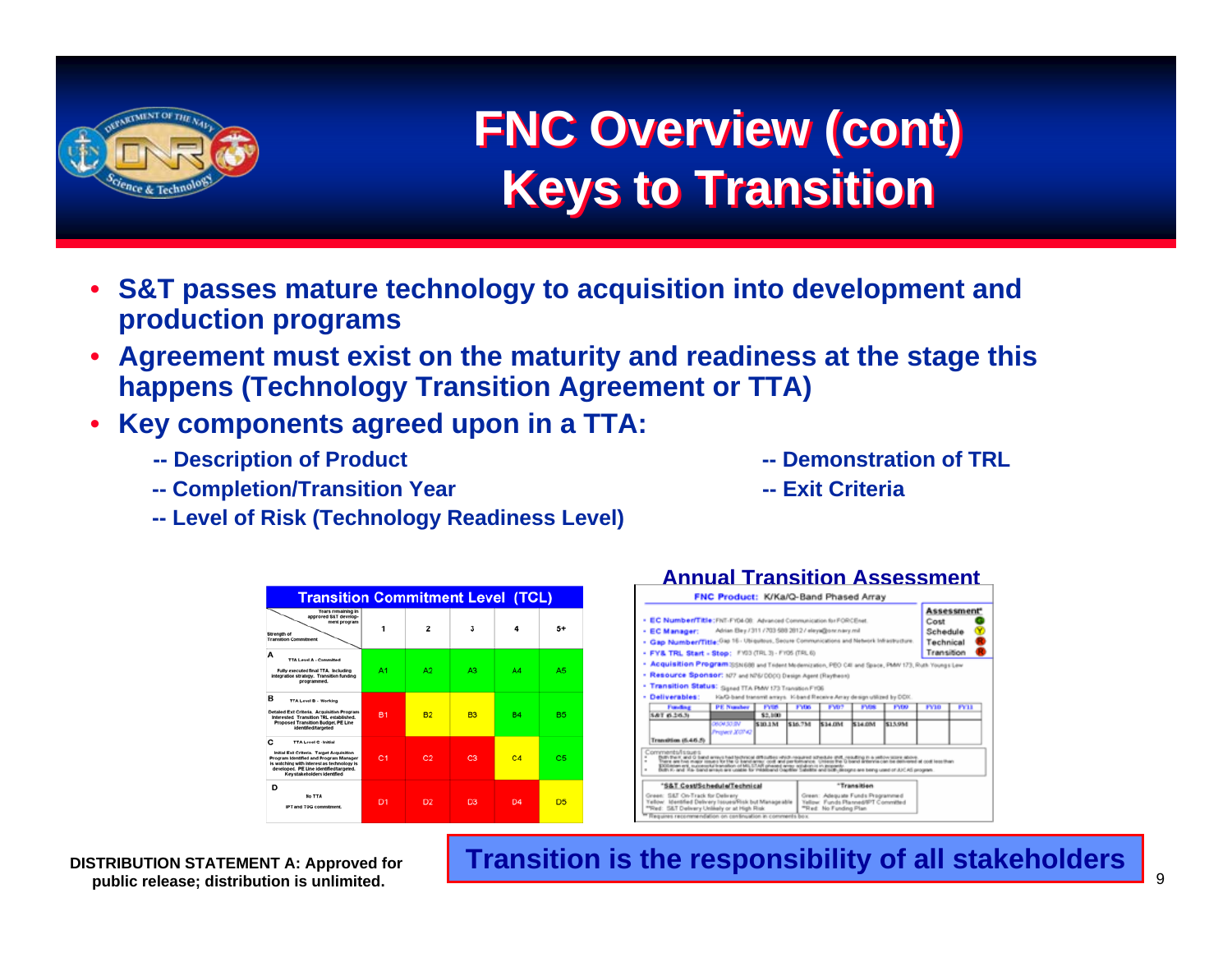

## **FNC Overview (cont) FNC Overview (cont) Keys to Transition Keys to Transition**

- **S&T passes mature technology to acquisition into development and production programs**
- • **Agreement must exist on the maturity and readiness at the stage this happens (Technology Transition Agreement or TTA)**
- • **Key components agreed upon in a TTA:**
	- **-- Description of Product -- Demonstration of TRL**
	- **-- Completion/Transition Year -- Exit Criteria**
	- **-- Level of Risk (Technology Readiness Level)**







**DISTRIBUTION STATEMENT A: Approved for public release; distribution is unlimited.**

#### **Transition is the responsibility of all stakeholders**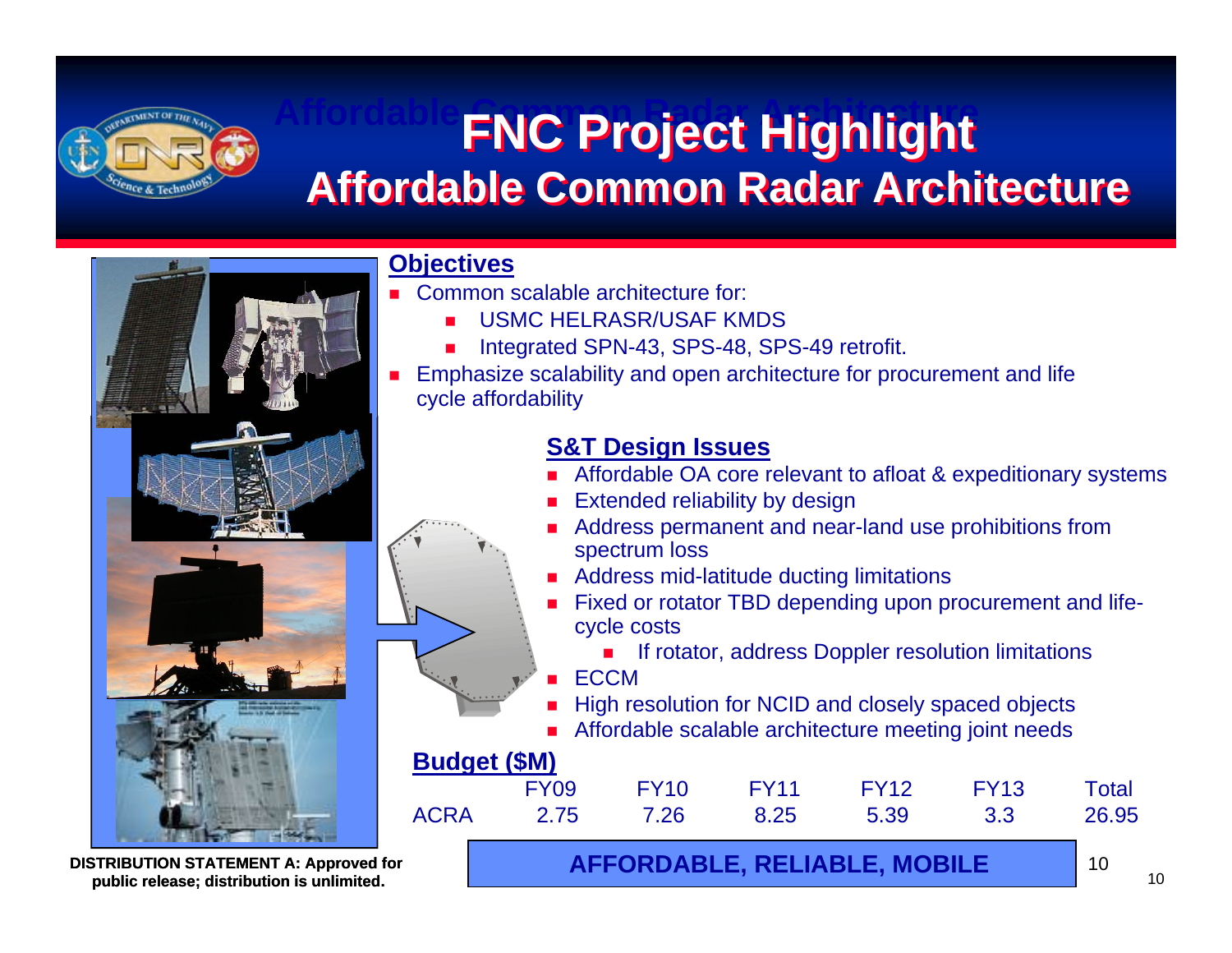

#### **Affordable Common Radar Architecture FNC Project Highlight FNC Project Highlight Affordable Common Radar Architecture**



#### **Objectives**

- ▛ Common scalable architecture for:
	- ▉ USMC HELRASR/USAF KMDS
	- ▉ Integrated SPN-43, SPS-48, SPS-49 retrofit.
- ▛ Emphasize scalability and open architecture for procurement and life cycle affordability

#### **S&T Design Issues**

- **Affordable OA core relevant to afloat & expeditionary systems**
- Extended reliability by design
- Address permanent and near-land use prohibitions from spectrum loss
- Address mid-latitude ducting limitations
- **Fixed or rotator TBD depending upon procurement and life**cycle costs

If rotator, address Doppler resolution limitations

**ECCM** 

High resolution for NCID and closely spaced objects

Affordable scalable architecture meeting joint needs

#### **Budget (\$M)** FY09 FY10 FY11 FY12 FY13 Total ACRA 2.75 7.26 8.25 5.39 3.3 26.95

**public release; distribution is unlimited.**  $\begin{bmatrix} 1 & 0 \\ 0 & 0 \end{bmatrix}$  **AFFORDABLE, RELIABLE, MOBILE** 

**DISTRIBUTION STATEMENT A: Approved for**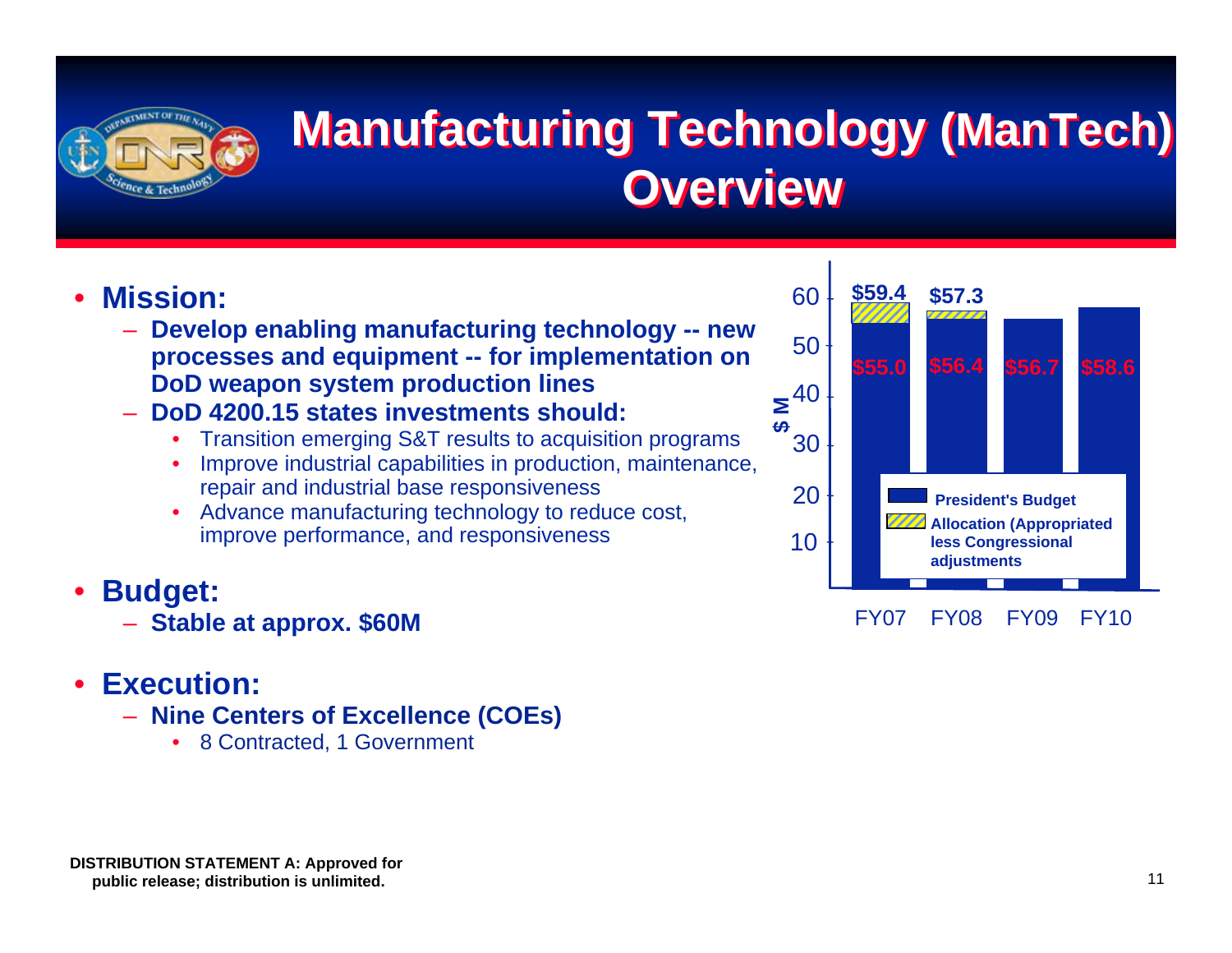

## **Manufacturing Technology (ManTech) Manufacturing Technology (ManTech) Overview**

#### •**Mission:**

- **Develop enabling manufacturing technology -- new processes and equipment -- for implementation on DoD weapon system production lines**
- **DoD 4200.15 states investments should:**
	- •Transition emerging S&T results to acquisition programs
	- • Improve industrial capabilities in production, maintenance, repair and industrial base responsiveness
	- • Advance manufacturing technology to reduce cost, improve performance, and responsiveness
- • **Budget:**
	- **Stable at approx. \$60M**

#### •**Execution:**

- **Nine Centers of Excellence (COEs)**
	- •8 Contracted, 1 Government



FY07 FY08 FY09 FY10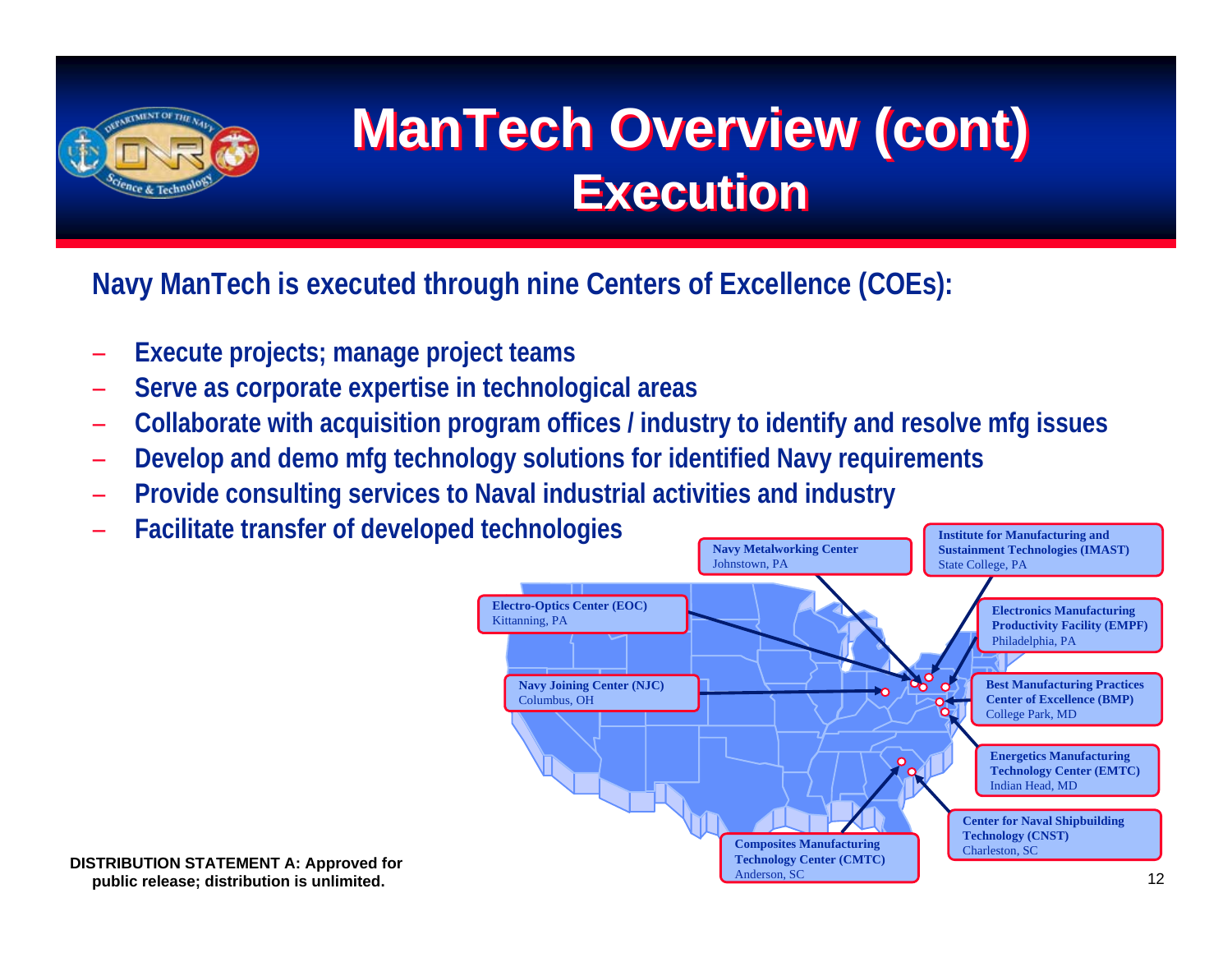

# **ManTech Overview (cont) ManTech Overview (cont) Execution Execution**

**Navy ManTech is executed through nine Centers of Excellence (COEs):**

- –**Execute projects; manage project teams**
- –**Serve as corporate expertise in technological areas**
- –**Collaborate with acquisition program offices / industry to identify and resolve mfg issues**
- –**Develop and demo mfg technology solutions for identified Navy requirements**
- –**Provide consulting services to Naval industrial activities and industry**
- –**Facilitate transfer of developed technologies**

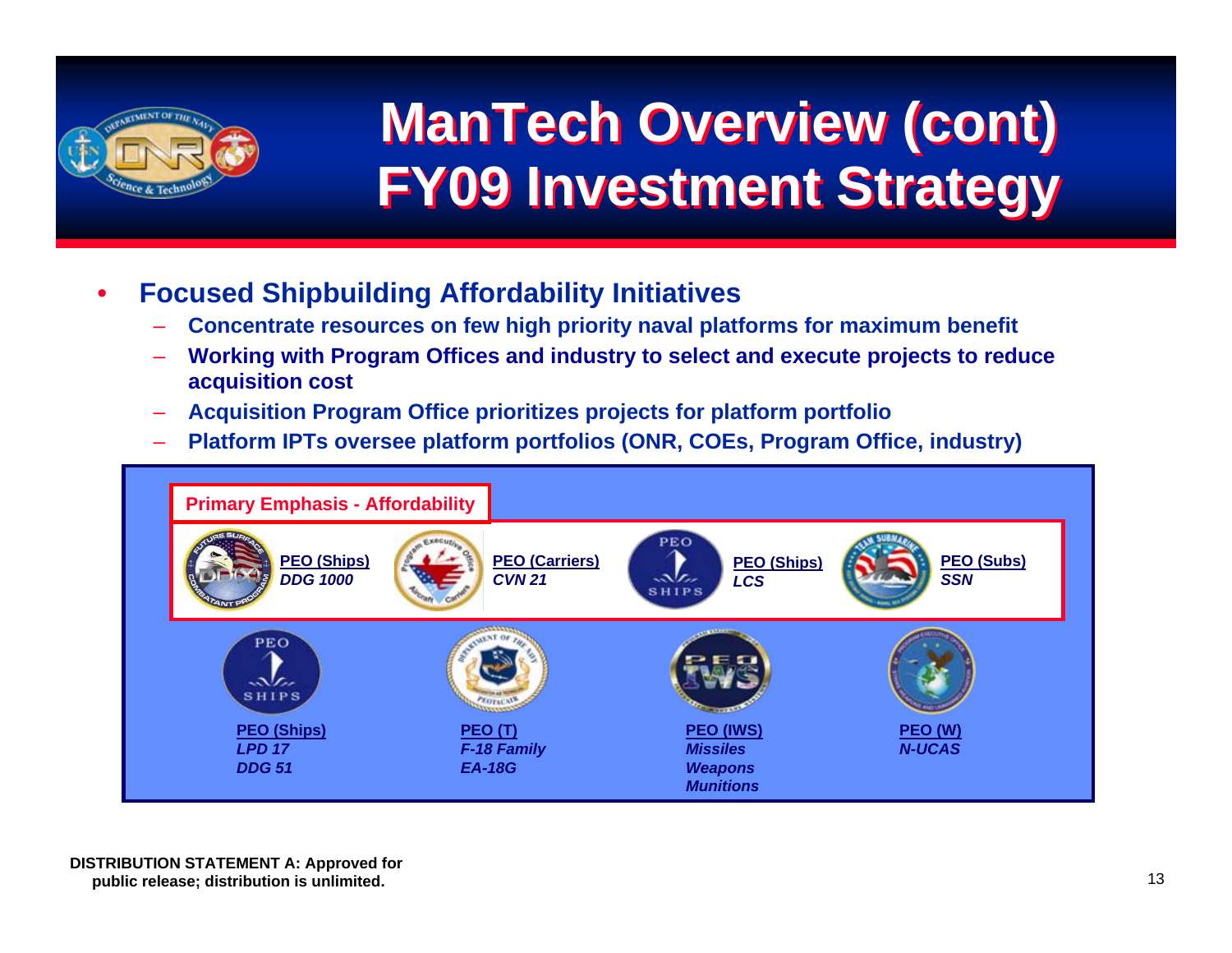

# **ManTech Overview (cont) ManTech Overview (cont) FY09 Investment Strategy FY09 Investment Strategy**

- • **Focused Shipbuilding Affordability Initiatives** 
	- **Concentrate resources on few high priority naval platforms for maximum benefit**
	- **Working with Program Offices and industry to select and execute projects to reduce acquisition cost**
	- **Acquisition Program Office prioritizes projects for platform portfolio**
	- **Platform IPTs oversee platform portfolios (ONR, COEs, Program Office, industry)**

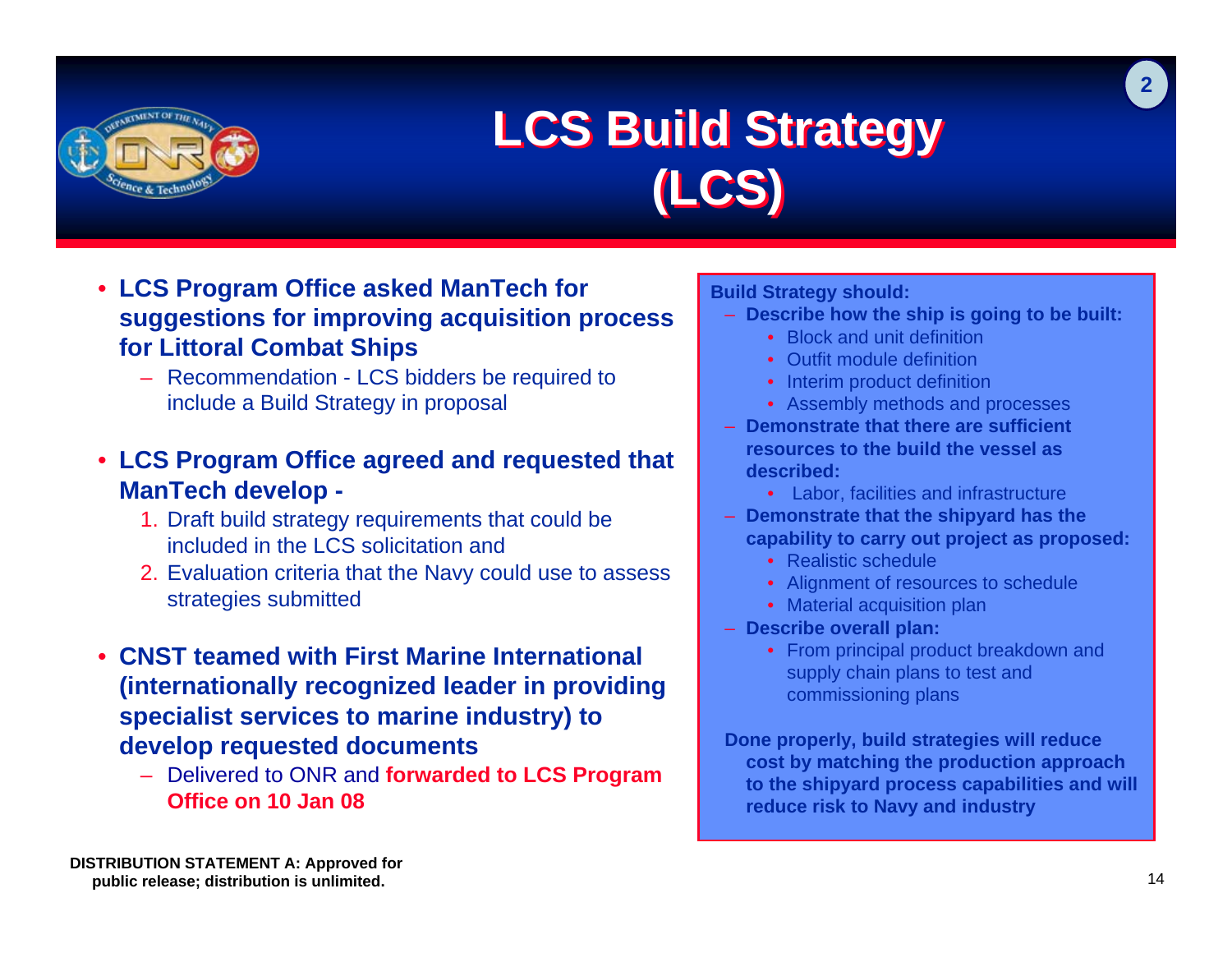

### **LCS Build Strategy LCS Build Strategy (LCS) (LCS)**

- **LCS Program Office asked ManTech for suggestions for improving acquisition process for Littoral Combat Ships**
	- Recommendation LCS bidders be required to include a Build Strategy in proposal
- **LCS Program Office agreed and requested that ManTech develop -**
	- 1. Draft build strategy requirements that could be included in the LCS solicitation and
	- 2. Evaluation criteria that the Navy could use to assess strategies submitted
- **CNST teamed with First Marine International (internationally recognized leader in providing specialist services to marine industry) to develop requested documents**
	- Delivered to ONR and **forwarded to LCS Program Office on 10 Jan 08**

**Build Strategy should:** 

- **Describe how the ship is going to be built:** 
	- Block and unit definition
	- Outfit module definition
	- Interim product definition
	- Assembly methods and processes
- **Demonstrate that there are sufficient resources to the build the vessel as described:** 
	- Labor, facilities and infrastructure
- **Demonstrate that the shipyard has the capability to carry out project as proposed:** 
	- Realistic schedule
	- Alignment of resources to schedule
	- Material acquisition plan
- **Describe overall plan:** 
	- From principal product breakdown and supply chain plans to test and commissioning plans

**Done properly, build strategies will reduce cost by matching the production approach to the shipyard process capabilities and will reduce risk to Navy and industry**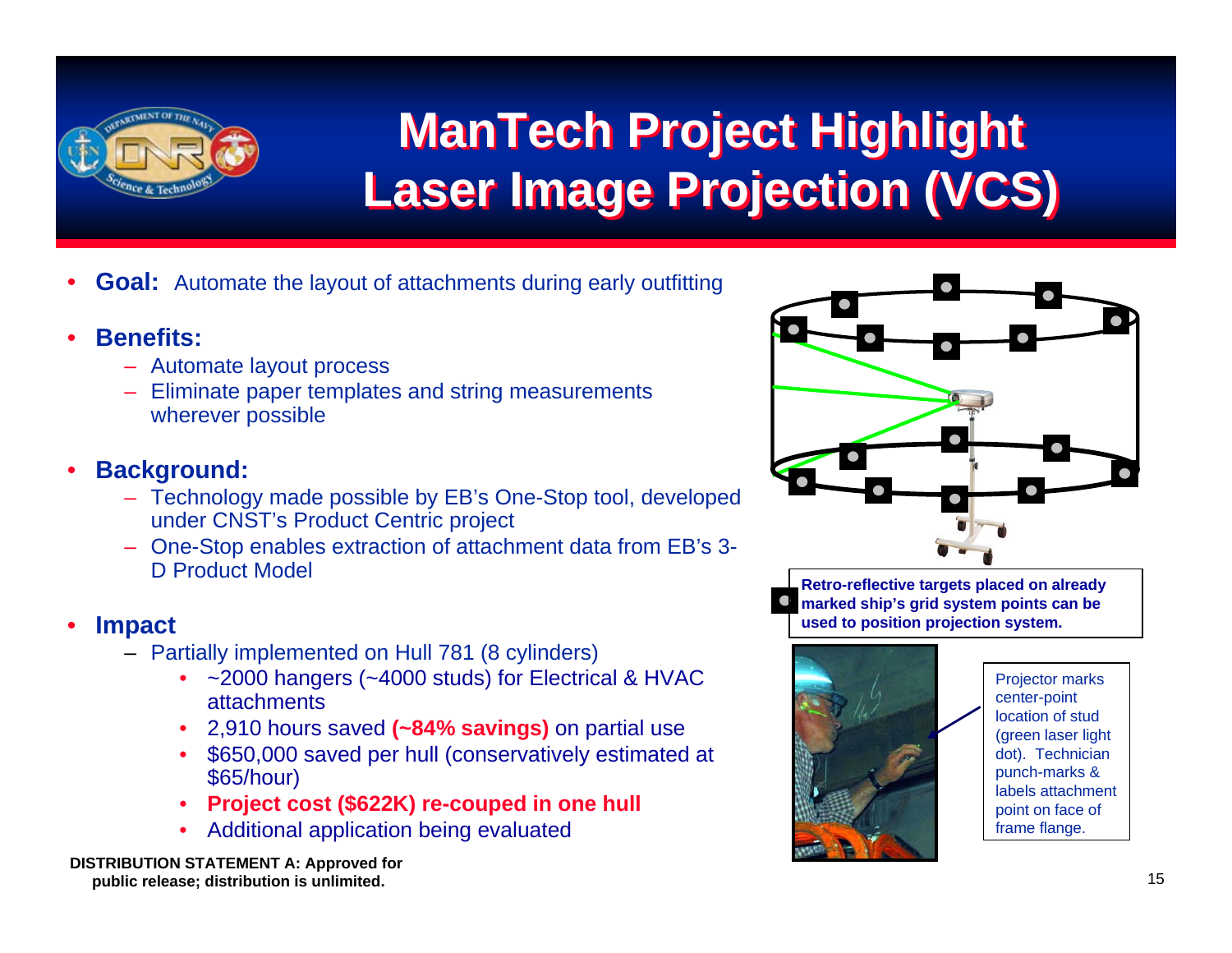

# **ManTech Project Highlight ManTech Project Highlight Laser Image Projection (VCS) Laser Image Projection (VCS)**

- •**Goal:** Automate the layout of attachments during early outfitting
- • **Benefits:**
	- Automate layout process
	- Eliminate paper templates and string measurements wherever possible
- • **Background:**
	- Technology made possible by EB's One-Stop tool, developed under CNST's Product Centric project
	- One-Stop enables extraction of attachment data from EB's 3- D Product Model
- • **Impact**
	- Partially implemented on Hull 781 (8 cylinders)
		- ~2000 hangers (~4000 studs) for Electrical & HVAC attachments
		- •2,910 hours saved **(~84% savings)** on partial use
		- • \$650,000 saved per hull (conservatively estimated at \$65/hour)
		- •**Project cost (\$622K) re-couped in one hull**
		- •Additional application being evaluated



**Retro-reflective targets placed on already marked ship's grid system points can be used to position projection system.**



Projector marks center-point location of stud (green laser light dot). Technician punch-marks & labels attachment point on face of frame flange.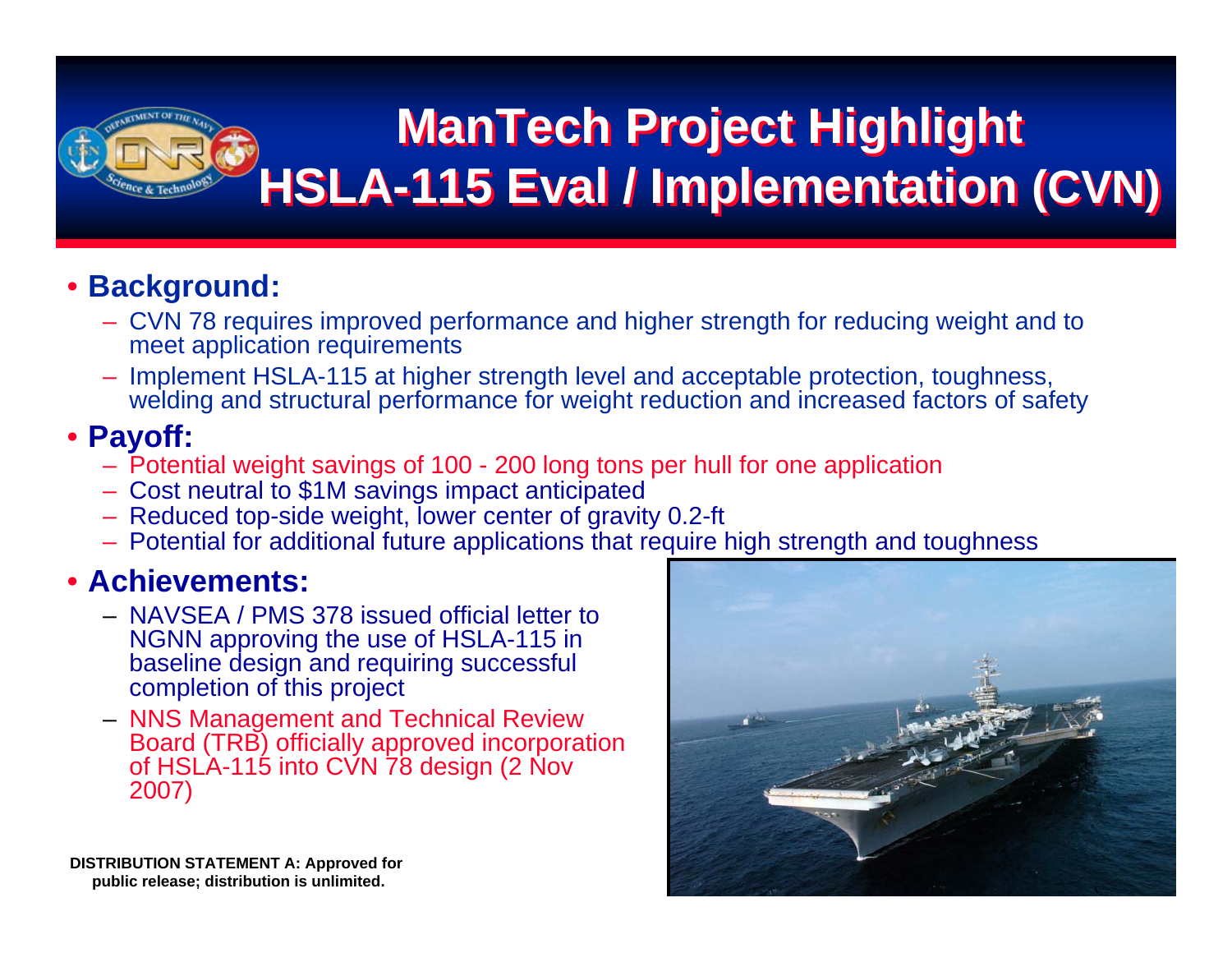

## **ManTech Project Highlight ManTech Project Highlight HSLA-115 Eval / Implementation (CVN) HSLA-115 Eval / Implementation (CVN)**

### • **Background:**

- CVN 78 requires improved performance and higher strength for reducing weight and to meet application requirements
- Implement HSLA-115 at higher strength level and acceptable protection, toughness, welding and structural performance for weight reduction and increased factors of safety

#### • **Payoff:**

- Potential weight savings of 100 200 long tons per hull for one application
- Cost neutral to \$1M savings impact anticipated
- Reduced top-side weight, lower center of gravity 0.2-ft
- Potential for additional future applications that require high strength and toughness

#### • **Achievements:**

- NAVSEA / PMS 378 issued official letter to NGNN approving the use of HSLA-115 in baseline design and requiring successful completion of this project
- NNS Management and Technical Review Board (TRB) officially approved incorporation of HSLA-115 into CVN 78 design (2 Nov 2007)



**DISTRIBUTION STATEMENT A: Approved for public release; distribution is unlimited.**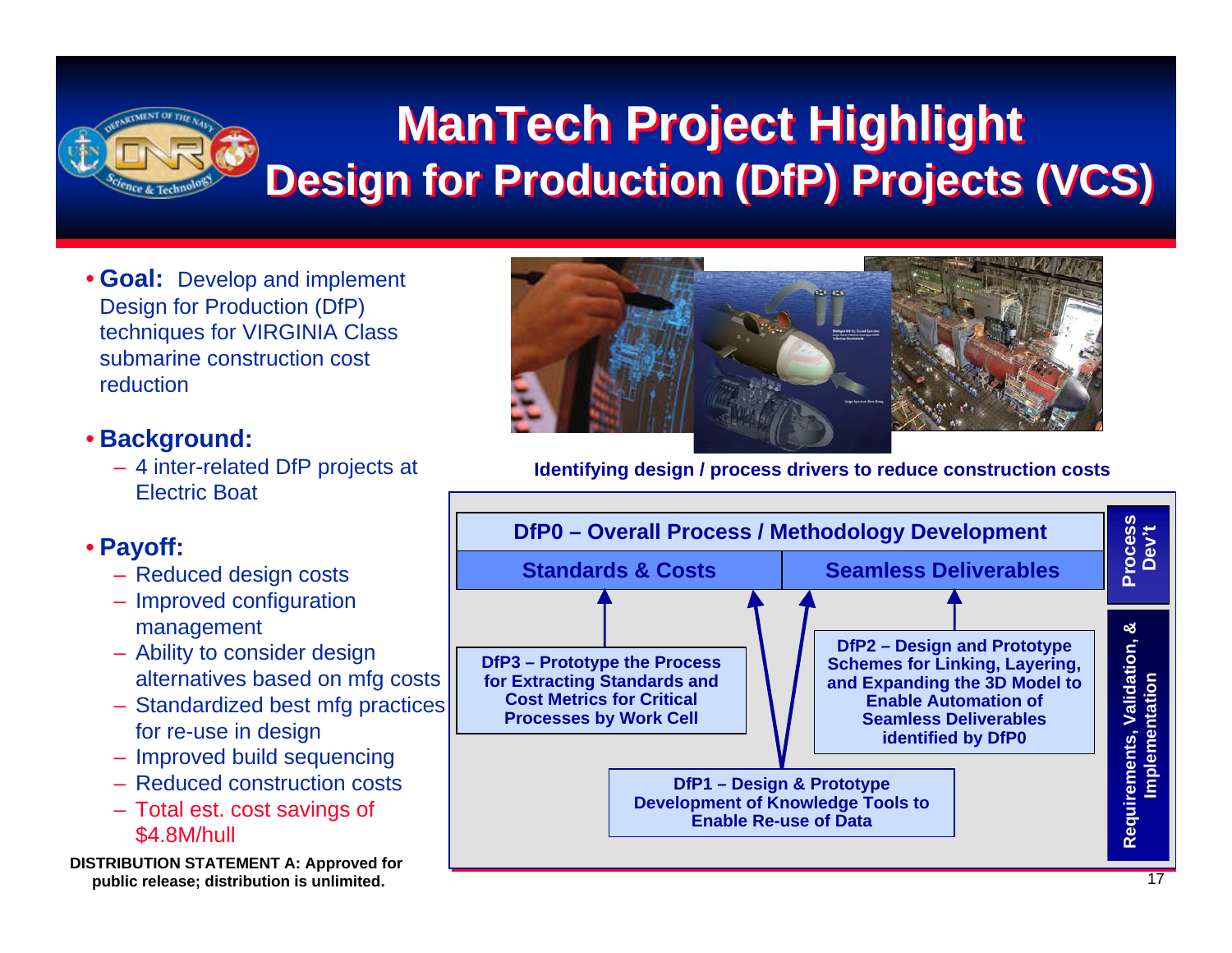

### **ManTech Project Highlight ManTech Project Highlight Design for Production (DfP) Projects (VCS) Design for Production (DfP) Projects (VCS)**

• **Goal:** Develop and implement Design for Production (DfP) techniques for VIRGINIA Class submarine construction cost reduction

#### • **Background:**

– 4 inter-related DfP projects at Electric Boat

#### • **Payoff:**

- Reduced design costs
- Improved configuration management
- Ability to consider design alternatives based on mfg costs
- Standardized best mfg practices for re-use in design
- Improved build sequencing
- Reduced construction costs
- Total est. cost savings of \$4.8M/hull
- **DISTRIBUTION STATEMENT A: Approved for public release; distribution is unlimited.**



**Identifying design / process drivers to reduce construction costs**